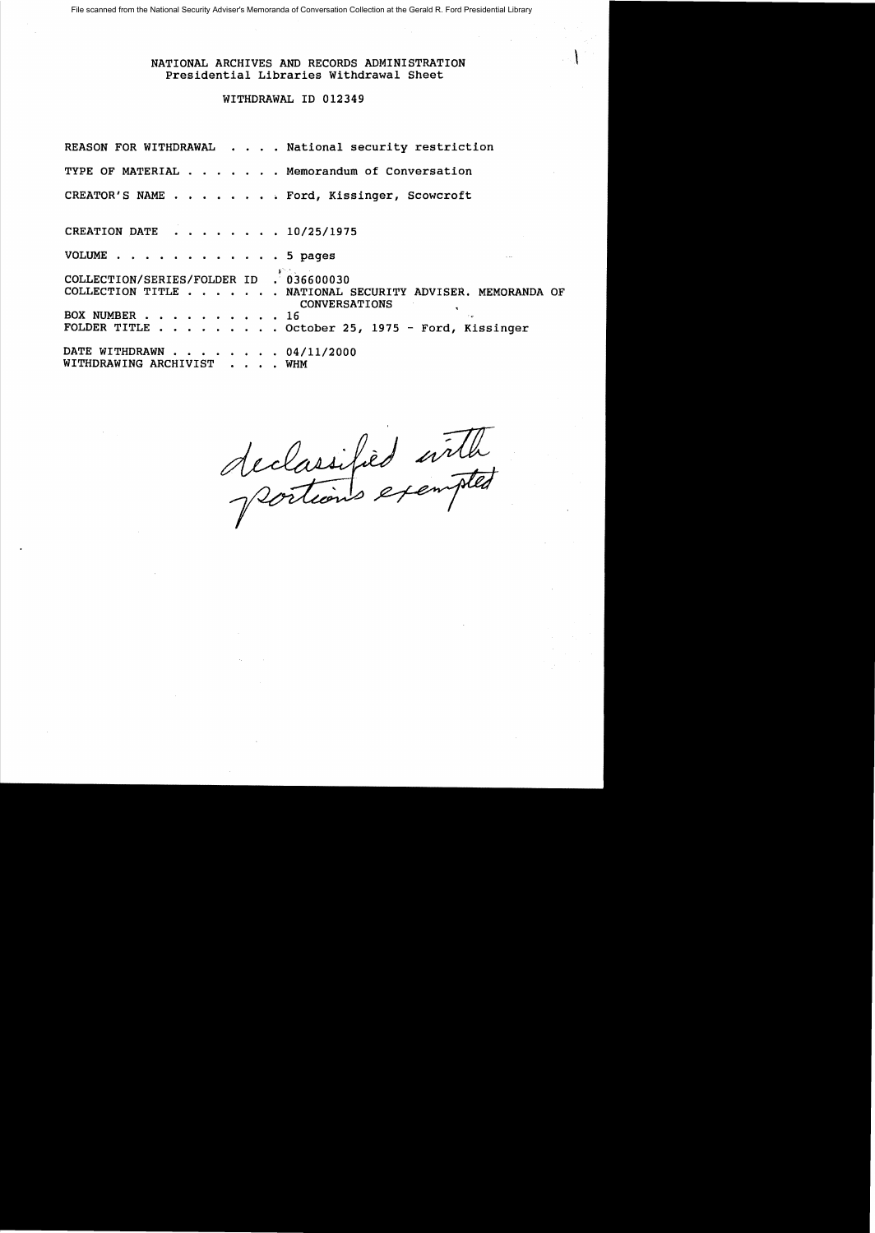File scanned from the National Security Adviser's Memoranda of Conversation Collection at the Gerald R. Ford Presidential Library

NATIONAL ARCHIVES AND RECORDS ADMINISTRATION \ Presidential Libraries Withdrawal Sheet

# WITHDRAWAL ID 012349

REASON FOR WITHDRAWAL . . . . National security restriction TYPE OF MATERIAL . . . . . . Memorandum of Conversation CREATOR'S NAME . . . . . . . Ford, Kissinger, Scowcroft CREATION DATE  $\cdot \cdot \cdot \cdot \cdot \cdot 10/25/1975$ VOLUME . . . . . . . . . . . . 5 pages  $• 036600030$ COLLECTION/SERIES/FOLDER ID COLLECTION TITLE . . . . . . NATIONAL SECURITY ADVISER. MEMORANDA OF CONVERSATIONS<br>16 BOX NUMBER •. ...•.. 16, BOX NUMBER . . . . . . . . . 16<br>FOLDER TITLE . . . . . . . . October 25, 1975 - Ford, Kissinger DATE WITHDRAWN . . . . . . . 04/11/2000 WITHDRAWING ARCHIVIST . . . . WHM

declarified with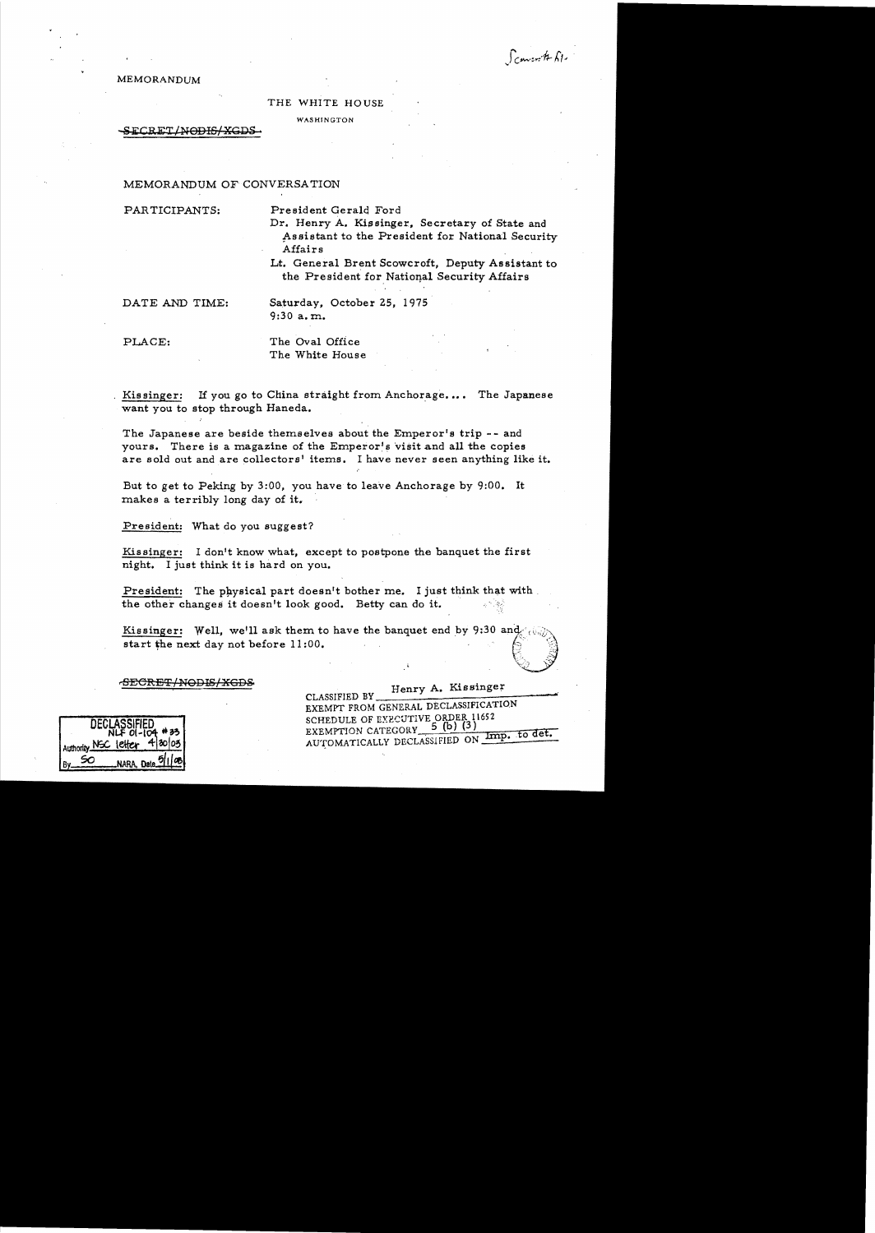Francoit El

MEMORANDUM

#### THE WHITE HOUSE

WASHINGTON

#### $\tt{SECRET/M\Theta\text{H}S/XGDS}$  .

# MEMORANDUM OF CONVERSATION

PARTICIPANTS: President Gerald Ford

Dr. Henry A. Kissinger, Secretary of State and Assistant to the President for National Security Affairs

Lt. General Brent Scowcroft, Deputy As sistant to the President for National Security Affairs

DATE AND TIME: Saturday, October 25, 1975 9:30 a. m..

PLACE: The Oval Office The White House

Kissinger: If you go to China straight from Anchorage.... The Japanese want you to stop through Haneda.

The Japanese are beside themselves about the Emperor's trip - - and yours. There is a magazine of the Emperor's visit and all the copies are sold out and are collectors' items. I have never seen anything like it.

But to get to Peking by 3:00, you have to leave Anchorage by 9:00. It makes a terribly long day of it.

President: What do you suggest?

Kissinger: I don't know what, except to postpone the banquet the first night. I just think it is hard on you.

President: The physical part doesn't bother me. I just think that with. the other changes it doesn't look good. Betty can do it.

Kissinger: Well, we'll ask them to have the banquet end by 9:30 and  $\langle \cdot | \cdot \rangle$ might. I just think it is hard on you.<br>
President: The physical part doesn't bother me. I just think that with<br>
the other changes it doesn't look good. Betty can do it.<br>
Kissinger: Well, we'll ask them to have the banquet

# FECRET/NODIS/XGDS<br>CLASSIFIED BY Henry A. Kissinger

CLASSIFIED BY FIELLY 11. ALLENDING EXEMPT FROM GENERAL DECLASSIFICATION DECLASSIFIED SCHEDULE OF EXECUTIVE ORDER 11652<br>NLF OI-104 #33 EXEMPTION CATEGORY 5 (b) (3)<br>Authority NSC letter 4 20 03 AUTOMATICALLY DECLASSIFIED ON IMP. to det.

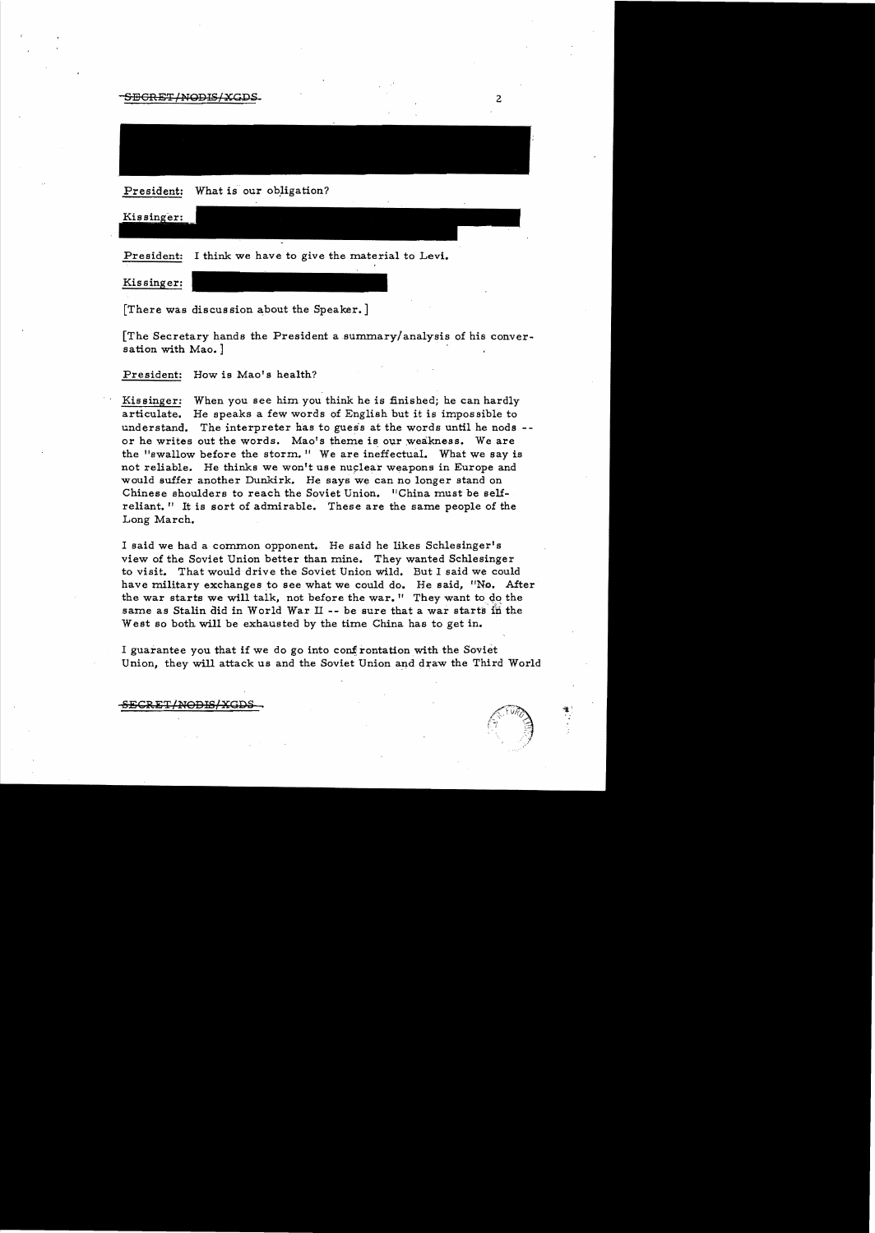$-$ SECRET/NODIS/XGDS.

President: What is our obligation?

Kissinger:

President: I think we have to give the material to Levi.

Kissinger:

[There was discussion about the Speaker.]

[The Secretary hands the President asummary/analysis of his conversation with Mao. ]

President: How is Mao's health?

Kissinger: When you see him you think he is finished; he can hardly articulate. He speaks a few words of English but it is impossible to understand. The interpreter has to guess at the words until he nods -or he writes out the words. Mao's theme is our weakness. We are the "swallow before the storm." We are ineffectual. What we say is not reliable. He thinks we won't use nuclear weapons in Europe and would suffer another Dunkirk. He says we can no longer stand on Chinese shoulders to reach the Soviet Union. 'IChina must be selfreliant." It is sort of admirable. These are the same people of the Long March.

I said we had a common opponent. He said he likes Schlesinger's view of the Soviet Union better than mine. They wanted Schlesinger to visit. That would drive the Soviet Union wild. But I said we could have military exchanges to see what we could do. He said, "No. After the war starts we will talk, not before the war." They want to do the same as Stalin did in World War II -- be sure that a war starts in the West so both will be exhausted by the time China has to get in.

I guarantee you that if we do go into confrontation with the Soviet Union, they will attack us and the Soviet Union and draw the Third World

S<del>ECRET/NODIS/XGDS</del>

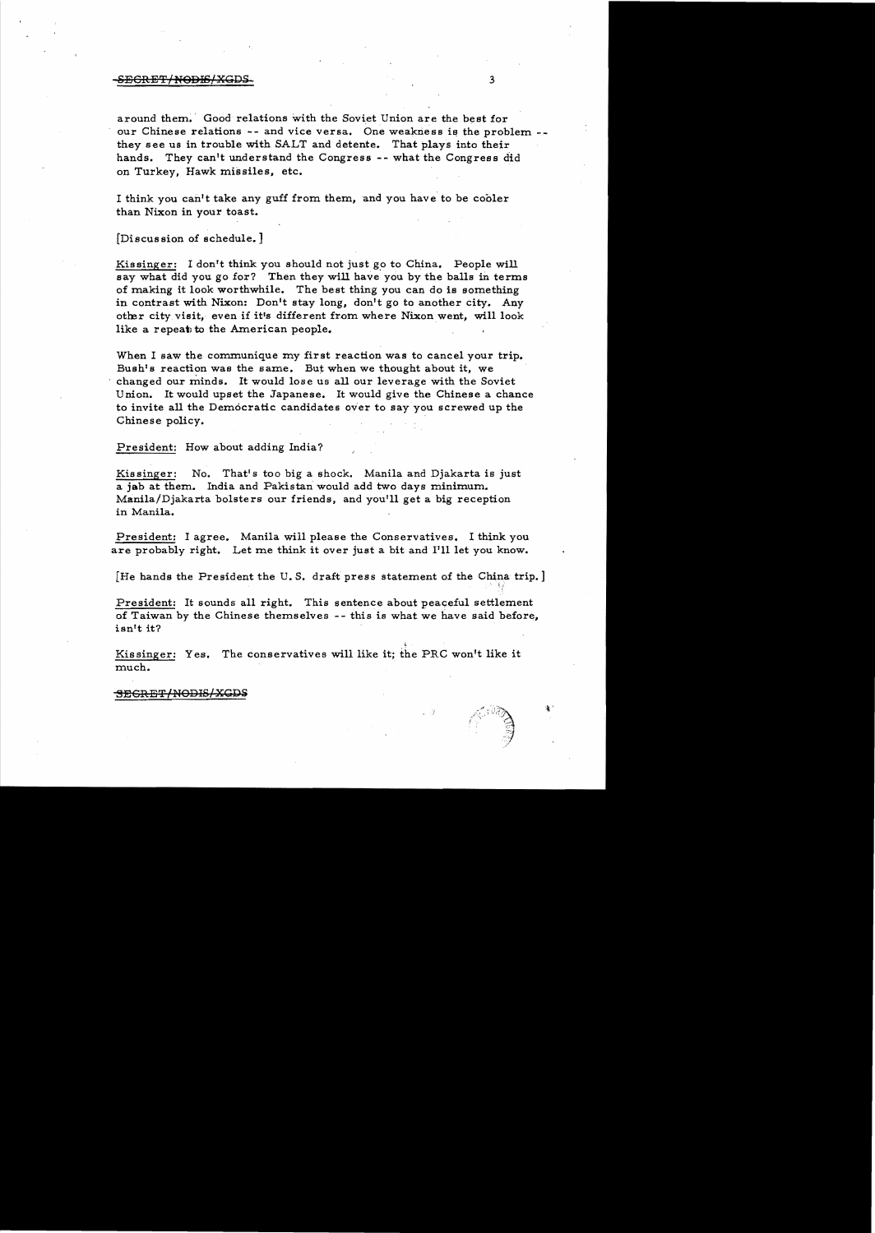#### -SECRET/N<del>ODIS/XGDS 3</del> 3

around them. Good relations with the Soviet Union are the best for our Chinese relations  $-$ - and vice versa. One weakness is the problem  $$ they see us in trouble with SALT and detente. That plays into their hands. They can't understand the Congress -- what the Congress did on Turkey, Hawk missiles, etc.

I think you can't take any guff from them, and you have to be cooler than Nixon in your toast.

[Discussion of schedule. J

Kissinger: I don't think you should not just go to China. People will say what did you go for? Then they will have you by the balls in terms of making it look worthwhile. The best thing you can do is something in contrast with Nixon: Don't stay long, don't go to another city. Any other city visit, even if it's different from where Nixon went, will look like a repeat to the American people.

When I saw the communique my first reaction was to cancel your trip. Bush's reaction was the same. But when we thought about it, we changed our minds. It would lose us all our leverage with the Soviet Union. It would upset the Japanese. It would give the Chinese a chance to invite all the Democratic candidates over to say you screwed up the Chinese policy.

President: How about adding India?

Kissinger: No. That's too big a shock. Manila and Djakarta is just a jab at them. India and Pakistan would add two days minimum. Manila/Djakarta bolsters our friends, and you'll get a big reception in Manila.

President: I agree. Manila will please the Conservatives. I think you are probably right. Let me think it over just a bit and I'll let you know.

[He hands the President the U.S. draft press statement of the China trip.]

President: It sounds all right. This sentence about peaceful settlement of Taiwan by the Chinese themselves -- this is what we have said before, isnlt it?

Kissinger: Yes. The conservatives will like it; the PRC won't like it much.

-SEGRET/nODIS/XGDS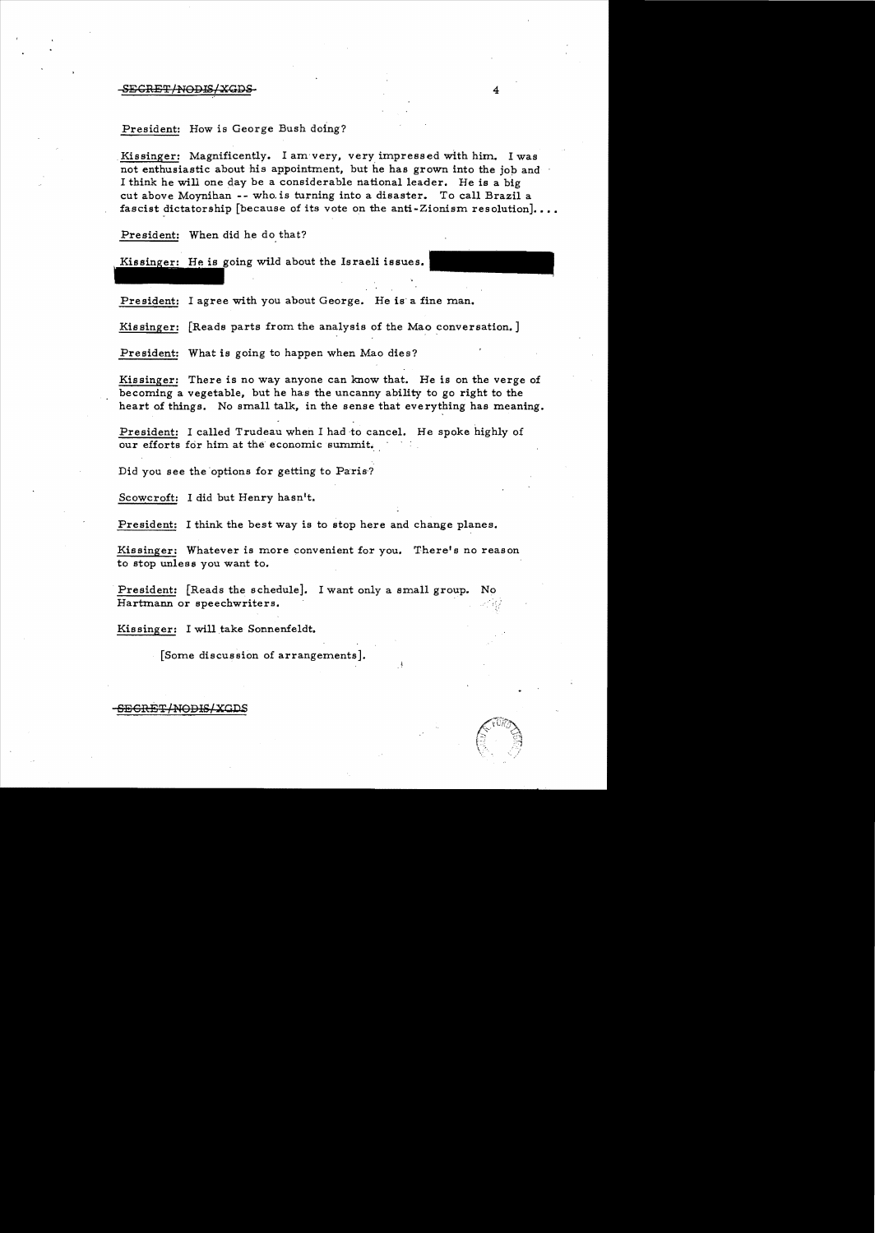### SEGRET ! NODIS ! XGD:

### President: How is George Bush doing?

Kissinger: Magnificently. I am very, very impressed with him. I was not enthusiastic about his appointment, but he has grown into the job and I think he will one day be a considerable national leader. He is a big cut above Movnihan -- who. is turning into a disaster. To call Brazil a fascist dictatorship [because of its vote on the anti-Zionism resolution]...

President: When did he do that?

Kissinger: He is going wild about the Israeli issues.

President: I agree with you about George. He is a fine man.

Kissinger: [Reads parts from the analysis of the Mao conversation.]

President: What is going to happen when Mao dies?

Kissinger: There is no way anyone can know that. He is on the verge of becoming a vegetable, but he has the uncanny ability to go right to the heart of things. No small talk, in the sense that everything has meaning.

President: I called Trudeau when I had to cancel. He spoke highly of our efforts for him at the economic summit.

Did you see the options for getting to Paris?

Scowcroft: I did but Henry hasn't.

President: I think the best way is to stop here and change planes.

Kissinger: Whatever is more convenient for you. There's no reason to stop unless you want to.

President:  $[Reads the schedule].$  I want only a small group. Hartmann or speechwriters.

Kissinger: I will take Sonnenfeldt.

[Some discussion of arrangements].

SE<del>CRET/NODIS/XGD</del>S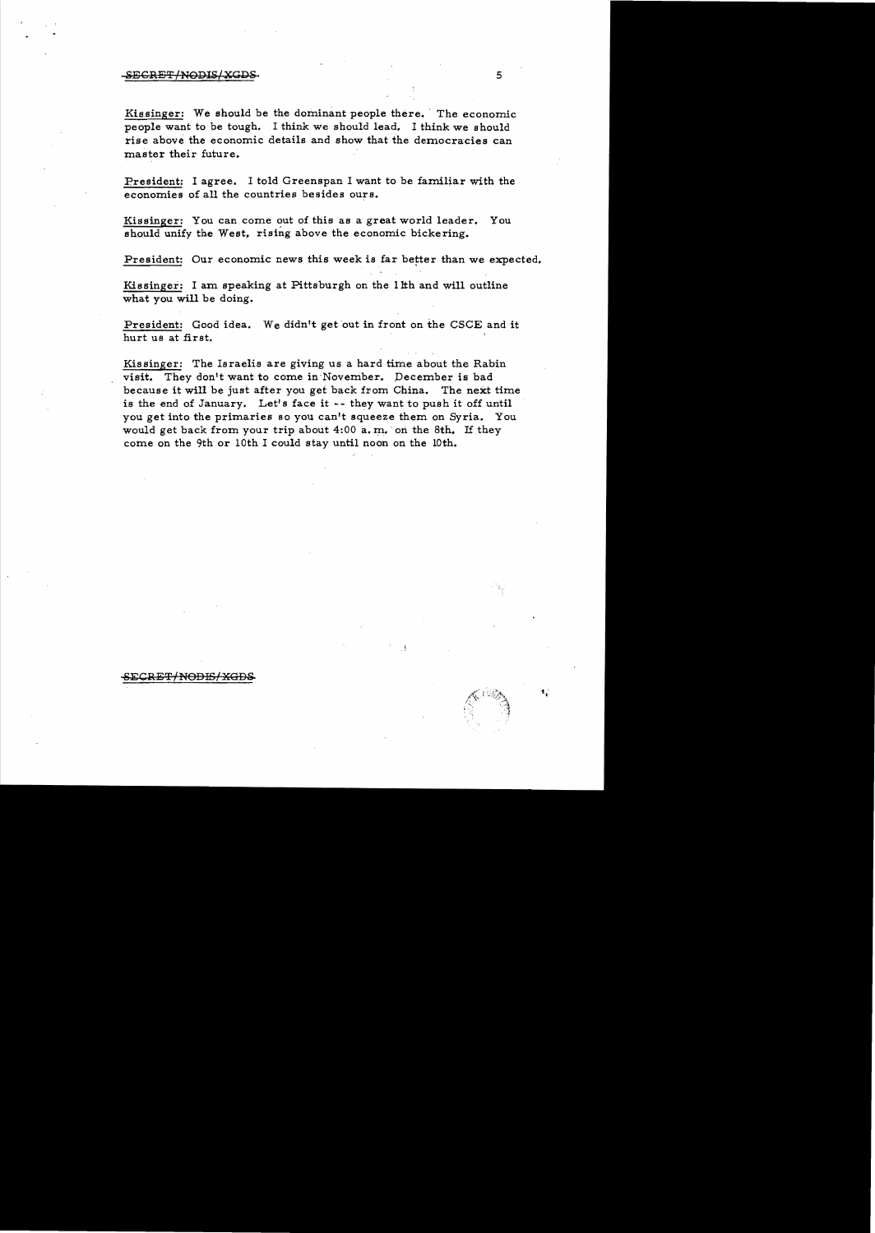#### $-$ SECRET/NODIS/XGDS. 5

Kissinger: We should be the dominant people there. The economic people want to be tough. I think we should lead. I think we should rise above the economic details and show that the democracies can master their future.

President: I agree. I told Greenspan I want to be familiar with the economies of al1 the countries besides ours.

Kissinger: You can come out of this as a great world leader. You should unify the West, rising above the economic bickering.

President: Our economic news this week is far better than we expected.

Kissinger: I am speaking at Pittsburgh on the lith and will outline what you will be doing.

President: Good idea. We didn't get out in front on the CSCE and it hurt us at first.

Kissinger: The Israelis are giving us a hard time about the Rabin visit. They don't want to come in November. December is bad because it will be just after you get back from China. The next time is the end of January. Let's face it  $-$ - they want to push it off until you get into the primaries so you can't squeeze them on Syria. You would get back from your trip about  $4:00$  a.m. on the 8th. If they come on the 9th or 10th I could stay until noon on the 10th.

۹,

#### <del>~SECRET/NODIS/XGDS</del>